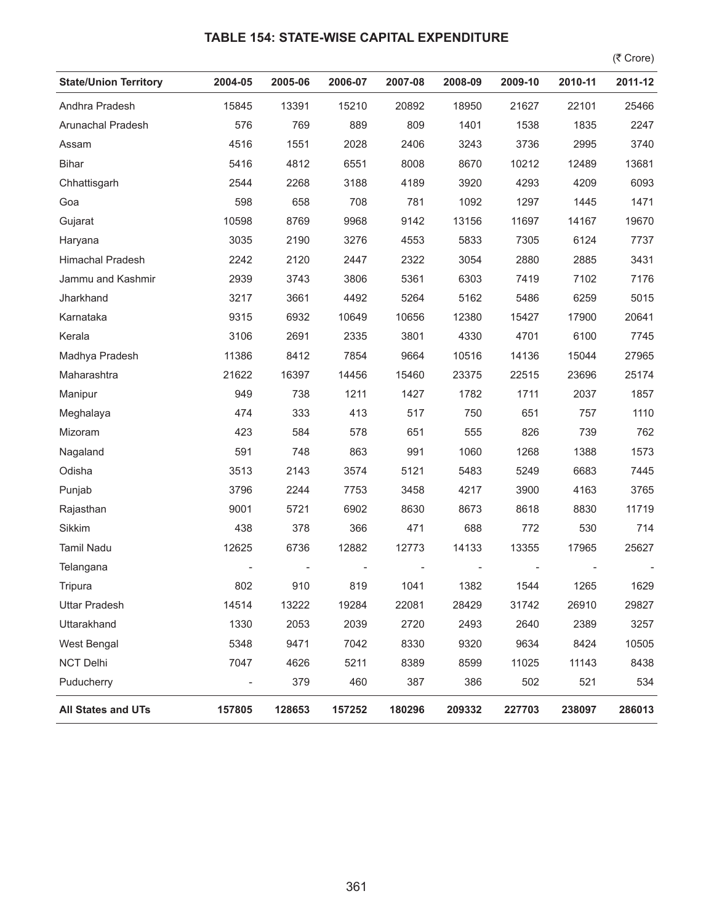## **TABLE 154: STATE-WISE CAPITAL EXPENDITURE**

 $($ ₹ Crore)

| <b>State/Union Territory</b> | 2004-05                  | 2005-06 | 2006-07 | 2007-08 | 2008-09 | 2009-10 | 2010-11 | 2011-12 |
|------------------------------|--------------------------|---------|---------|---------|---------|---------|---------|---------|
| Andhra Pradesh               | 15845                    | 13391   | 15210   | 20892   | 18950   | 21627   | 22101   | 25466   |
| Arunachal Pradesh            | 576                      | 769     | 889     | 809     | 1401    | 1538    | 1835    | 2247    |
| Assam                        | 4516                     | 1551    | 2028    | 2406    | 3243    | 3736    | 2995    | 3740    |
| <b>Bihar</b>                 | 5416                     | 4812    | 6551    | 8008    | 8670    | 10212   | 12489   | 13681   |
| Chhattisgarh                 | 2544                     | 2268    | 3188    | 4189    | 3920    | 4293    | 4209    | 6093    |
| Goa                          | 598                      | 658     | 708     | 781     | 1092    | 1297    | 1445    | 1471    |
| Gujarat                      | 10598                    | 8769    | 9968    | 9142    | 13156   | 11697   | 14167   | 19670   |
| Haryana                      | 3035                     | 2190    | 3276    | 4553    | 5833    | 7305    | 6124    | 7737    |
| <b>Himachal Pradesh</b>      | 2242                     | 2120    | 2447    | 2322    | 3054    | 2880    | 2885    | 3431    |
| Jammu and Kashmir            | 2939                     | 3743    | 3806    | 5361    | 6303    | 7419    | 7102    | 7176    |
| Jharkhand                    | 3217                     | 3661    | 4492    | 5264    | 5162    | 5486    | 6259    | 5015    |
| Karnataka                    | 9315                     | 6932    | 10649   | 10656   | 12380   | 15427   | 17900   | 20641   |
| Kerala                       | 3106                     | 2691    | 2335    | 3801    | 4330    | 4701    | 6100    | 7745    |
| Madhya Pradesh               | 11386                    | 8412    | 7854    | 9664    | 10516   | 14136   | 15044   | 27965   |
| Maharashtra                  | 21622                    | 16397   | 14456   | 15460   | 23375   | 22515   | 23696   | 25174   |
| Manipur                      | 949                      | 738     | 1211    | 1427    | 1782    | 1711    | 2037    | 1857    |
| Meghalaya                    | 474                      | 333     | 413     | 517     | 750     | 651     | 757     | 1110    |
| Mizoram                      | 423                      | 584     | 578     | 651     | 555     | 826     | 739     | 762     |
| Nagaland                     | 591                      | 748     | 863     | 991     | 1060    | 1268    | 1388    | 1573    |
| Odisha                       | 3513                     | 2143    | 3574    | 5121    | 5483    | 5249    | 6683    | 7445    |
| Punjab                       | 3796                     | 2244    | 7753    | 3458    | 4217    | 3900    | 4163    | 3765    |
| Rajasthan                    | 9001                     | 5721    | 6902    | 8630    | 8673    | 8618    | 8830    | 11719   |
| Sikkim                       | 438                      | 378     | 366     | 471     | 688     | 772     | 530     | 714     |
| <b>Tamil Nadu</b>            | 12625                    | 6736    | 12882   | 12773   | 14133   | 13355   | 17965   | 25627   |
| Telangana                    |                          |         |         |         |         |         |         |         |
| Tripura                      | 802                      | 910     | 819     | 1041    | 1382    | 1544    | 1265    | 1629    |
| <b>Uttar Pradesh</b>         | 14514                    | 13222   | 19284   | 22081   | 28429   | 31742   | 26910   | 29827   |
| Uttarakhand                  | 1330                     | 2053    | 2039    | 2720    | 2493    | 2640    | 2389    | 3257    |
| West Bengal                  | 5348                     | 9471    | 7042    | 8330    | 9320    | 9634    | 8424    | 10505   |
| <b>NCT Delhi</b>             | 7047                     | 4626    | 5211    | 8389    | 8599    | 11025   | 11143   | 8438    |
| Puducherry                   | $\overline{\phantom{a}}$ | 379     | 460     | 387     | 386     | 502     | 521     | 534     |
| <b>All States and UTs</b>    | 157805                   | 128653  | 157252  | 180296  | 209332  | 227703  | 238097  | 286013  |